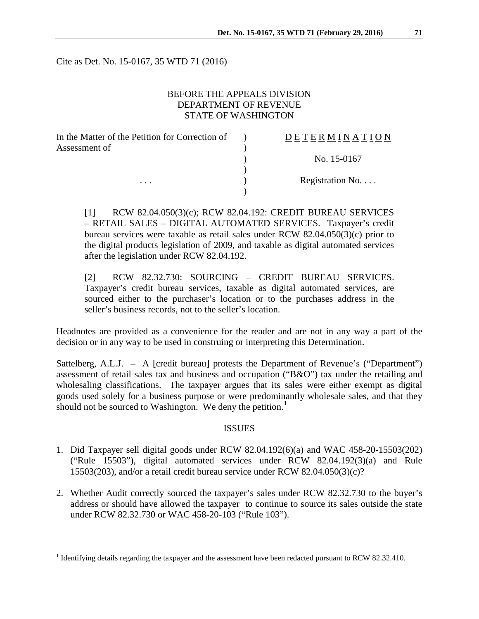Cite as Det. No. 15-0167, 35 WTD 71 (2016)

## BEFORE THE APPEALS DIVISION DEPARTMENT OF REVENUE STATE OF WASHINGTON

| In the Matter of the Petition for Correction of | DETERMINATION   |
|-------------------------------------------------|-----------------|
| Assessment of                                   |                 |
|                                                 | No. 15-0167     |
|                                                 |                 |
| .                                               | Registration No |
|                                                 |                 |

[1] RCW 82.04.050(3)(c); RCW 82.04.192: CREDIT BUREAU SERVICES – RETAIL SALES – DIGITAL AUTOMATED SERVICES. Taxpayer's credit bureau services were taxable as retail sales under RCW 82.04.050(3)(c) prior to the digital products legislation of 2009, and taxable as digital automated services after the legislation under RCW 82.04.192.

[2] RCW 82.32.730: SOURCING – CREDIT BUREAU SERVICES. Taxpayer's credit bureau services, taxable as digital automated services, are sourced either to the purchaser's location or to the purchases address in the seller's business records, not to the seller's location.

Headnotes are provided as a convenience for the reader and are not in any way a part of the decision or in any way to be used in construing or interpreting this Determination.

Sattelberg, A.L.J. – A [credit bureau] protests the Department of Revenue's ("Department") assessment of retail sales tax and business and occupation ("B&O") tax under the retailing and wholesaling classifications. The taxpayer argues that its sales were either exempt as digital goods used solely for a business purpose or were predominantly wholesale sales, and that they should not be sourced to Washington. We deny the petition.<sup>[1](#page-0-0)</sup>

#### ISSUES

- 1. Did Taxpayer sell digital goods under RCW 82.04.192(6)(a) and WAC 458-20-15503(202) ("Rule 15503"), digital automated services under RCW 82.04.192(3)(a) and Rule 15503(203), and/or a retail credit bureau service under RCW 82.04.050(3)(c)?
- 2. Whether Audit correctly sourced the taxpayer's sales under RCW 82.32.730 to the buyer's address or should have allowed the taxpayer to continue to source its sales outside the state under RCW 82.32.730 or WAC 458-20-103 ("Rule 103").

<span id="page-0-0"></span><sup>&</sup>lt;sup>1</sup> Identifying details regarding the taxpayer and the assessment have been redacted pursuant to RCW 82.32.410.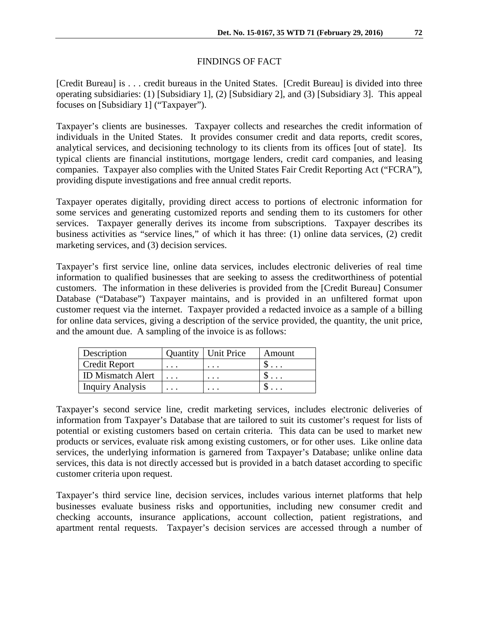## FINDINGS OF FACT

[Credit Bureau] is . . . credit bureaus in the United States. [Credit Bureau] is divided into three operating subsidiaries: (1) [Subsidiary 1], (2) [Subsidiary 2], and (3) [Subsidiary 3]. This appeal focuses on [Subsidiary 1] ("Taxpayer").

Taxpayer's clients are businesses. Taxpayer collects and researches the credit information of individuals in the United States. It provides consumer credit and data reports, credit scores, analytical services, and decisioning technology to its clients from its offices [out of state]. Its typical clients are financial institutions, mortgage lenders, credit card companies, and leasing companies. Taxpayer also complies with the United States Fair Credit Reporting Act ("FCRA"), providing dispute investigations and free annual credit reports.

Taxpayer operates digitally, providing direct access to portions of electronic information for some services and generating customized reports and sending them to its customers for other services. Taxpayer generally derives its income from subscriptions. Taxpayer describes its business activities as "service lines," of which it has three: (1) online data services, (2) credit marketing services, and (3) decision services.

Taxpayer's first service line, online data services, includes electronic deliveries of real time information to qualified businesses that are seeking to assess the creditworthiness of potential customers. The information in these deliveries is provided from the [Credit Bureau] Consumer Database ("Database") Taxpayer maintains, and is provided in an unfiltered format upon customer request via the internet. Taxpayer provided a redacted invoice as a sample of a billing for online data services, giving a description of the service provided, the quantity, the unit price, and the amount due. A sampling of the invoice is as follows:

| Description              | <b>Quantity</b>   Unit Price | Amount |
|--------------------------|------------------------------|--------|
| <b>Credit Report</b>     | $\cdot$ $\cdot$ $\cdot$      |        |
| <b>ID Mismatch Alert</b> | $\cdot$                      |        |
| <b>Inquiry Analysis</b>  |                              |        |

Taxpayer's second service line, credit marketing services, includes electronic deliveries of information from Taxpayer's Database that are tailored to suit its customer's request for lists of potential or existing customers based on certain criteria. This data can be used to market new products or services, evaluate risk among existing customers, or for other uses. Like online data services, the underlying information is garnered from Taxpayer's Database; unlike online data services, this data is not directly accessed but is provided in a batch dataset according to specific customer criteria upon request.

Taxpayer's third service line, decision services, includes various internet platforms that help businesses evaluate business risks and opportunities, including new consumer credit and checking accounts, insurance applications, account collection, patient registrations, and apartment rental requests. Taxpayer's decision services are accessed through a number of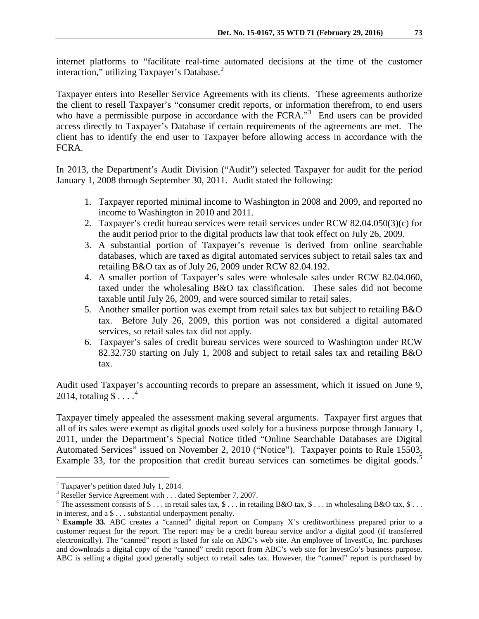internet platforms to "facilitate real-time automated decisions at the time of the customer interaction," utilizing Taxpayer's Database.<sup>[2](#page-2-0)</sup>

Taxpayer enters into Reseller Service Agreements with its clients. These agreements authorize the client to resell Taxpayer's "consumer credit reports, or information therefrom, to end users who have a permissible purpose in accordance with the FCRA."<sup>[3](#page-2-1)</sup> End users can be provided access directly to Taxpayer's Database if certain requirements of the agreements are met. The client has to identify the end user to Taxpayer before allowing access in accordance with the FCRA.

In 2013, the Department's Audit Division ("Audit") selected Taxpayer for audit for the period January 1, 2008 through September 30, 2011. Audit stated the following:

- 1. Taxpayer reported minimal income to Washington in 2008 and 2009, and reported no income to Washington in 2010 and 2011.
- 2. Taxpayer's credit bureau services were retail services under RCW 82.04.050(3)(c) for the audit period prior to the digital products law that took effect on July 26, 2009.
- 3. A substantial portion of Taxpayer's revenue is derived from online searchable databases, which are taxed as digital automated services subject to retail sales tax and retailing B&O tax as of July 26, 2009 under RCW 82.04.192.
- 4. A smaller portion of Taxpayer's sales were wholesale sales under RCW 82.04.060, taxed under the wholesaling B&O tax classification. These sales did not become taxable until July 26, 2009, and were sourced similar to retail sales.
- 5. Another smaller portion was exempt from retail sales tax but subject to retailing B&O tax. Before July 26, 2009, this portion was not considered a digital automated services, so retail sales tax did not apply.
- 6. Taxpayer's sales of credit bureau services were sourced to Washington under RCW 82.32.730 starting on July 1, 2008 and subject to retail sales tax and retailing B&O tax.

Audit used Taxpayer's accounting records to prepare an assessment, which it issued on June 9, 201[4](#page-2-2), totaling  $\widetilde{\mathcal{S} \dots$ .<sup>4</sup>

Taxpayer timely appealed the assessment making several arguments. Taxpayer first argues that all of its sales were exempt as digital goods used solely for a business purpose through January 1, 2011, under the Department's Special Notice titled "Online Searchable Databases are Digital Automated Services" issued on November 2, 2010 ("Notice"). Taxpayer points to Rule 15503, Example 33, for the proposition that credit bureau services can sometimes be digital goods.<sup>[5](#page-2-3)</sup>

<span id="page-2-0"></span><sup>&</sup>lt;sup>2</sup> Taxpayer's petition dated July 1, 2014.<br><sup>3</sup> Reseller Service Agreement with . . . dated September 7, 2007.

<span id="page-2-2"></span><span id="page-2-1"></span><sup>&</sup>lt;sup>4</sup> The assessment consists of \$ . . . in retail sales tax, \$ . . . in retailing B&O tax, \$ . . . in wholesaling B&O tax, \$ . . . in interest, and a \$ . . . substantial underpayment penalty.

<span id="page-2-3"></span><sup>5</sup> **Example 33.** ABC creates a "canned" digital report on Company X's creditworthiness prepared prior to a customer request for the report. The report may be a credit bureau service and/or a digital good (if transferred electronically). The "canned" report is listed for sale on ABC's web site. An employee of InvestCo, Inc. purchases and downloads a digital copy of the "canned" credit report from ABC's web site for InvestCo's business purpose. ABC is selling a digital good generally subject to retail sales tax. However, the "canned" report is purchased by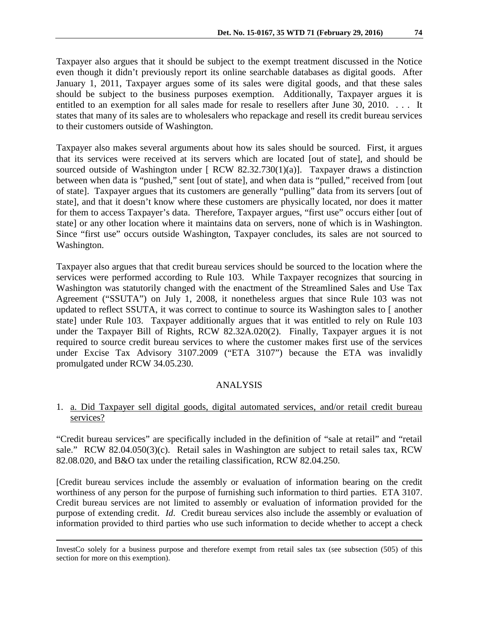Taxpayer also argues that it should be subject to the exempt treatment discussed in the Notice even though it didn't previously report its online searchable databases as digital goods. After January 1, 2011, Taxpayer argues some of its sales were digital goods, and that these sales should be subject to the business purposes exemption. Additionally, Taxpayer argues it is entitled to an exemption for all sales made for resale to resellers after June 30, 2010. . . . It states that many of its sales are to wholesalers who repackage and resell its credit bureau services to their customers outside of Washington.

Taxpayer also makes several arguments about how its sales should be sourced. First, it argues that its services were received at its servers which are located [out of state], and should be sourced outside of Washington under  $[RCW 82.32.730(1)(a)]$ . Taxpayer draws a distinction between when data is "pushed," sent [out of state], and when data is "pulled," received from [out of state]. Taxpayer argues that its customers are generally "pulling" data from its servers [out of state], and that it doesn't know where these customers are physically located, nor does it matter for them to access Taxpayer's data. Therefore, Taxpayer argues, "first use" occurs either [out of state] or any other location where it maintains data on servers, none of which is in Washington. Since "first use" occurs outside Washington, Taxpayer concludes, its sales are not sourced to Washington.

Taxpayer also argues that that credit bureau services should be sourced to the location where the services were performed according to Rule 103. While Taxpayer recognizes that sourcing in Washington was statutorily changed with the enactment of the Streamlined Sales and Use Tax Agreement ("SSUTA") on July 1, 2008, it nonetheless argues that since Rule 103 was not updated to reflect SSUTA, it was correct to continue to source its Washington sales to [ another state] under Rule 103. Taxpayer additionally argues that it was entitled to rely on Rule 103 under the Taxpayer Bill of Rights, RCW 82.32A.020(2). Finally, Taxpayer argues it is not required to source credit bureau services to where the customer makes first use of the services under Excise Tax Advisory 3107.2009 ("ETA 3107") because the ETA was invalidly promulgated under RCW 34.05.230.

# ANALYSIS

## 1. a. Did Taxpayer sell digital goods, digital automated services, and/or retail credit bureau services?

"Credit bureau services" are specifically included in the definition of "sale at retail" and "retail sale." RCW 82.04.050(3)(c). Retail sales in Washington are subject to retail sales tax, RCW 82.08.020, and B&O tax under the retailing classification, RCW 82.04.250.

[Credit bureau services include the assembly or evaluation of information bearing on the credit worthiness of any person for the purpose of furnishing such information to third parties. ETA 3107. Credit bureau services are not limited to assembly or evaluation of information provided for the purpose of extending credit. *Id*. Credit bureau services also include the assembly or evaluation of information provided to third parties who use such information to decide whether to accept a check

 $\overline{a}$ 

InvestCo solely for a business purpose and therefore exempt from retail sales tax (see subsection (505) of this section for more on this exemption).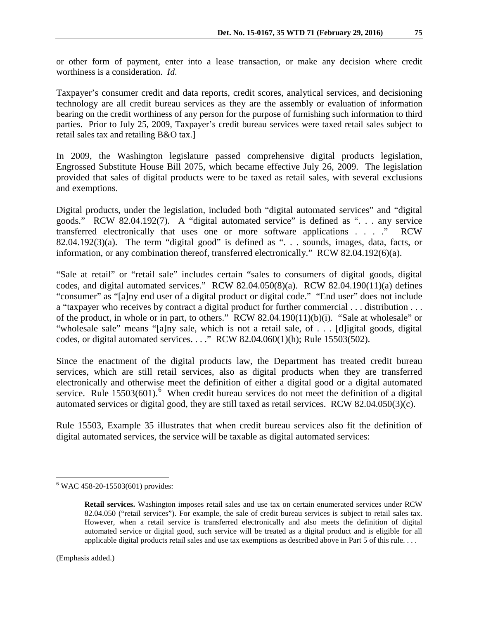or other form of payment, enter into a lease transaction, or make any decision where credit worthiness is a consideration. *Id*.

Taxpayer's consumer credit and data reports, credit scores, analytical services, and decisioning technology are all credit bureau services as they are the assembly or evaluation of information bearing on the credit worthiness of any person for the purpose of furnishing such information to third parties. Prior to July 25, 2009, Taxpayer's credit bureau services were taxed retail sales subject to retail sales tax and retailing B&O tax.]

In 2009, the Washington legislature passed comprehensive digital products legislation, Engrossed Substitute House Bill 2075, which became effective July 26, 2009. The legislation provided that sales of digital products were to be taxed as retail sales, with several exclusions and exemptions.

Digital products, under the legislation, included both "digital automated services" and "digital goods." RCW 82.04.192(7). A "digital automated service" is defined as ". . . any service transferred electronically that uses one or more software applications . . . ." RCW 82.04.192(3)(a). The term "digital good" is defined as " $\ldots$  sounds, images, data, facts, or information, or any combination thereof, transferred electronically." RCW 82.04.192(6)(a).

"Sale at retail" or "retail sale" includes certain "sales to consumers of digital goods, digital codes, and digital automated services." RCW 82.04.050(8)(a). RCW 82.04.190(11)(a) defines "consumer" as "[a]ny end user of a digital product or digital code." "End user" does not include a "taxpayer who receives by contract a digital product for further commercial . . . distribution . . . of the product, in whole or in part, to others." RCW 82.04.190(11)(b)(i). "Sale at wholesale" or "wholesale sale" means "[a]ny sale, which is not a retail sale, of . . . [d]igital goods, digital codes, or digital automated services. . . ." RCW 82.04.060(1)(h); Rule 15503(502).

Since the enactment of the digital products law, the Department has treated credit bureau services, which are still retail services, also as digital products when they are transferred electronically and otherwise meet the definition of either a digital good or a digital automated service. Rule  $15503(601)$  $15503(601)$  $15503(601)$ .<sup>6</sup> When credit bureau services do not meet the definition of a digital automated services or digital good, they are still taxed as retail services. RCW 82.04.050(3)(c).

Rule 15503, Example 35 illustrates that when credit bureau services also fit the definition of digital automated services, the service will be taxable as digital automated services:

<span id="page-4-0"></span> $6$  WAC 458-20-15503(601) provides:

**Retail services.** Washington imposes retail sales and use tax on certain enumerated services under RCW 82.04.050 ("retail services"). For example, the sale of credit bureau services is subject to retail sales tax. However, when a retail service is transferred electronically and also meets the definition of digital automated service or digital good, such service will be treated as a digital product and is eligible for all applicable digital products retail sales and use tax exemptions as described above in Part 5 of this rule. . . .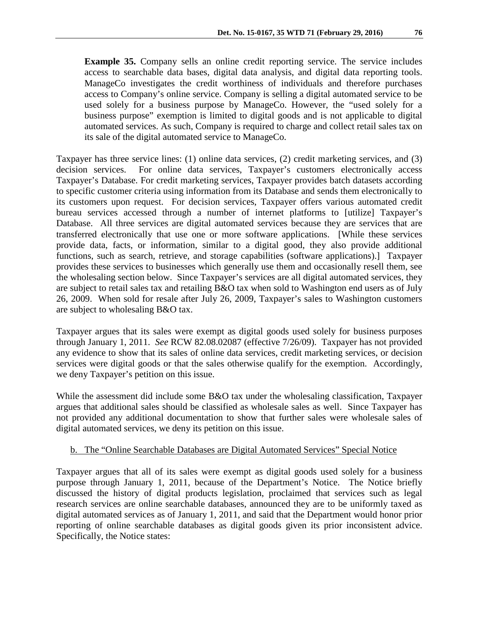**Example 35.** Company sells an online credit reporting service. The service includes access to searchable data bases, digital data analysis, and digital data reporting tools. ManageCo investigates the credit worthiness of individuals and therefore purchases access to Company's online service. Company is selling a digital automated service to be used solely for a business purpose by ManageCo. However, the "used solely for a business purpose" exemption is limited to digital goods and is not applicable to digital automated services. As such, Company is required to charge and collect retail sales tax on its sale of the digital automated service to ManageCo.

Taxpayer has three service lines: (1) online data services, (2) credit marketing services, and (3) decision services. For online data services, Taxpayer's customers electronically access Taxpayer's Database. For credit marketing services, Taxpayer provides batch datasets according to specific customer criteria using information from its Database and sends them electronically to its customers upon request. For decision services, Taxpayer offers various automated credit bureau services accessed through a number of internet platforms to [utilize] Taxpayer's Database. All three services are digital automated services because they are services that are transferred electronically that use one or more software applications. [While these services provide data, facts, or information, similar to a digital good, they also provide additional functions, such as search, retrieve, and storage capabilities (software applications).] Taxpayer provides these services to businesses which generally use them and occasionally resell them, see the wholesaling section below. Since Taxpayer's services are all digital automated services, they are subject to retail sales tax and retailing B&O tax when sold to Washington end users as of July 26, 2009. When sold for resale after July 26, 2009, Taxpayer's sales to Washington customers are subject to wholesaling B&O tax.

Taxpayer argues that its sales were exempt as digital goods used solely for business purposes through January 1, 2011. *See* RCW 82.08.02087 (effective 7/26/09). Taxpayer has not provided any evidence to show that its sales of online data services, credit marketing services, or decision services were digital goods or that the sales otherwise qualify for the exemption. Accordingly, we deny Taxpayer's petition on this issue.

While the assessment did include some B&O tax under the wholesaling classification, Taxpayer argues that additional sales should be classified as wholesale sales as well. Since Taxpayer has not provided any additional documentation to show that further sales were wholesale sales of digital automated services, we deny its petition on this issue.

# b. The "Online Searchable Databases are Digital Automated Services" Special Notice

Taxpayer argues that all of its sales were exempt as digital goods used solely for a business purpose through January 1, 2011, because of the Department's Notice. The Notice briefly discussed the history of digital products legislation, proclaimed that services such as legal research services are online searchable databases, announced they are to be uniformly taxed as digital automated services as of January 1, 2011, and said that the Department would honor prior reporting of online searchable databases as digital goods given its prior inconsistent advice. Specifically, the Notice states: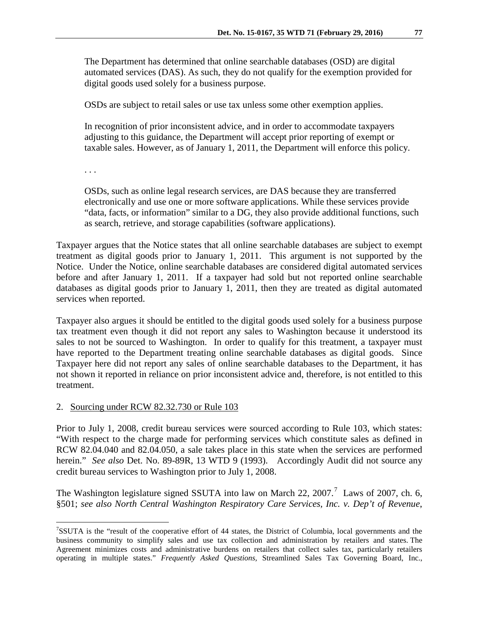The Department has determined that online searchable databases (OSD) are digital automated services (DAS). As such, they do not qualify for the exemption provided for digital goods used solely for a business purpose.

OSDs are subject to retail sales or use tax unless some other exemption applies.

In recognition of prior inconsistent advice, and in order to accommodate taxpayers adjusting to this guidance, the Department will accept prior reporting of exempt or taxable sales. However, as of January 1, 2011, the Department will enforce this policy.

. . .

OSDs, such as online legal research services, are DAS because they are transferred electronically and use one or more software applications. While these services provide "data, facts, or information" similar to a DG, they also provide additional functions, such as search, retrieve, and storage capabilities (software applications).

Taxpayer argues that the Notice states that all online searchable databases are subject to exempt treatment as digital goods prior to January 1, 2011. This argument is not supported by the Notice. Under the Notice, online searchable databases are considered digital automated services before and after January 1, 2011. If a taxpayer had sold but not reported online searchable databases as digital goods prior to January 1, 2011, then they are treated as digital automated services when reported.

Taxpayer also argues it should be entitled to the digital goods used solely for a business purpose tax treatment even though it did not report any sales to Washington because it understood its sales to not be sourced to Washington. In order to qualify for this treatment, a taxpayer must have reported to the Department treating online searchable databases as digital goods. Since Taxpayer here did not report any sales of online searchable databases to the Department, it has not shown it reported in reliance on prior inconsistent advice and, therefore, is not entitled to this treatment.

### 2. Sourcing under RCW 82.32.730 or Rule 103

Prior to July 1, 2008, credit bureau services were sourced according to Rule 103, which states: "With respect to the charge made for performing services which constitute sales as defined in RCW 82.04.040 and 82.04.050, a sale takes place in this state when the services are performed herein." *See also* Det. No. 89-89R, 13 WTD 9 (1993). Accordingly Audit did not source any credit bureau services to Washington prior to July 1, 2008.

The Washington legislature signed SSUTA into law on March 22,  $2007$  $2007$ .<sup>7</sup> Laws of 2007, ch. 6, §501; *see also North Central Washington Respiratory Care Services, Inc. v. Dep't of Revenue*,

<span id="page-6-0"></span><sup>-&</sup>lt;br>7 SSUTA is the "result of the cooperative effort of 44 states, the District of Columbia, local governments and the business community to simplify sales and use tax collection and administration by retailers and states. The Agreement minimizes costs and administrative burdens on retailers that collect sales tax, particularly retailers operating in multiple states." *Frequently Asked Questions,* Streamlined Sales Tax Governing Board, Inc.,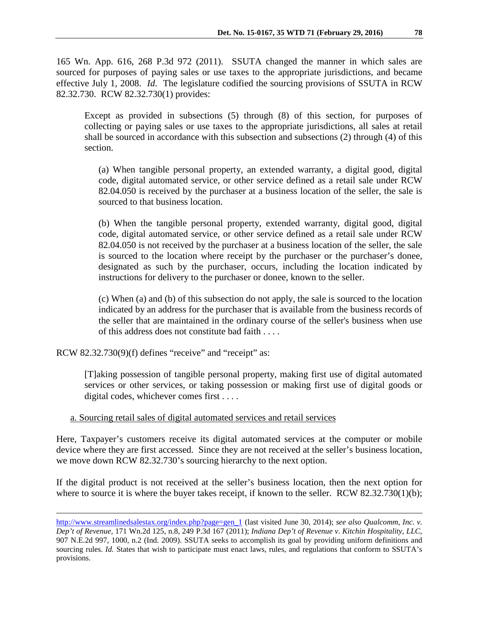165 Wn. App. 616, 268 P.3d 972 (2011). SSUTA changed the manner in which sales are sourced for purposes of paying sales or use taxes to the appropriate jurisdictions, and became effective July 1, 2008. *Id*. The legislature codified the sourcing provisions of SSUTA in RCW 82.32.730. RCW 82.32.730(1) provides:

Except as provided in subsections (5) through (8) of this section, for purposes of collecting or paying sales or use taxes to the appropriate jurisdictions, all sales at retail shall be sourced in accordance with this subsection and subsections (2) through (4) of this section.

(a) When tangible personal property, an extended warranty, a digital good, digital code, digital automated service, or other service defined as a retail sale under RCW 82.04.050 is received by the purchaser at a business location of the seller, the sale is sourced to that business location.

(b) When the tangible personal property, extended warranty, digital good, digital code, digital automated service, or other service defined as a retail sale under RCW 82.04.050 is not received by the purchaser at a business location of the seller, the sale is sourced to the location where receipt by the purchaser or the purchaser's donee, designated as such by the purchaser, occurs, including the location indicated by instructions for delivery to the purchaser or donee, known to the seller.

(c) When (a) and (b) of this subsection do not apply, the sale is sourced to the location indicated by an address for the purchaser that is available from the business records of the seller that are maintained in the ordinary course of the seller's business when use of this address does not constitute bad faith . . . .

RCW 82.32.730(9)(f) defines "receive" and "receipt" as:

[T]aking possession of tangible personal property, making first use of digital automated services or other services, or taking possession or making first use of digital goods or digital codes, whichever comes first . . . .

a. Sourcing retail sales of digital automated services and retail services

Here, Taxpayer's customers receive its digital automated services at the computer or mobile device where they are first accessed. Since they are not received at the seller's business location, we move down RCW 82.32.730's sourcing hierarchy to the next option.

If the digital product is not received at the seller's business location, then the next option for where to source it is where the buyer takes receipt, if known to the seller. RCW 82.32.730(1)(b);

[http://www.streamlinedsalestax.org/index.php?page=gen\\_1](http://www.streamlinedsalestax.org/index.php?page=gen_1) (last visited June 30, 2014); *see also Qualcomm, Inc. v. Dep't of Revenue,* 171 Wn.2d 125, n.8, 249 P.3d 167 (2011); *Indiana Dep't of Revenue v. Kitchin Hospitality*, *LLC*, 907 N.E.2d 997, 1000, n.2 (Ind. 2009). SSUTA seeks to accomplish its goal by providing uniform definitions and sourcing rules. *Id.* States that wish to participate must enact laws, rules, and regulations that conform to SSUTA's provisions.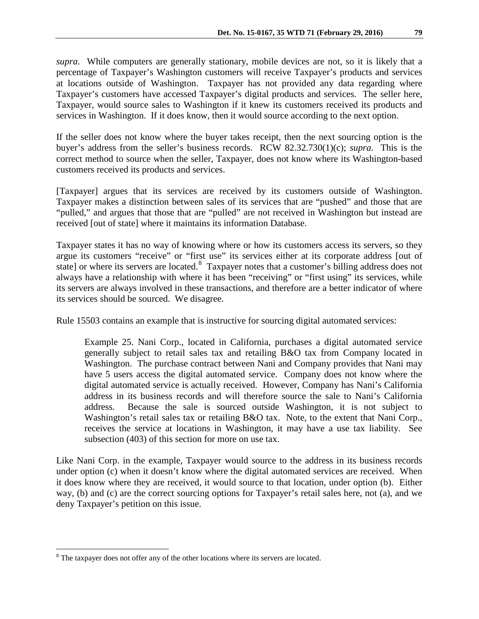*supra*. While computers are generally stationary, mobile devices are not, so it is likely that a percentage of Taxpayer's Washington customers will receive Taxpayer's products and services at locations outside of Washington. Taxpayer has not provided any data regarding where Taxpayer's customers have accessed Taxpayer's digital products and services. The seller here, Taxpayer, would source sales to Washington if it knew its customers received its products and services in Washington. If it does know, then it would source according to the next option.

If the seller does not know where the buyer takes receipt, then the next sourcing option is the buyer's address from the seller's business records. RCW 82.32.730(1)(c); *supra*. This is the correct method to source when the seller, Taxpayer, does not know where its Washington-based customers received its products and services.

[Taxpayer] argues that its services are received by its customers outside of Washington. Taxpayer makes a distinction between sales of its services that are "pushed" and those that are "pulled," and argues that those that are "pulled" are not received in Washington but instead are received [out of state] where it maintains its information Database.

Taxpayer states it has no way of knowing where or how its customers access its servers, so they argue its customers "receive" or "first use" its services either at its corporate address [out of state] or where its servers are located.<sup>[8](#page-8-0)</sup> Taxpayer notes that a customer's billing address does not always have a relationship with where it has been "receiving" or "first using" its services, while its servers are always involved in these transactions, and therefore are a better indicator of where its services should be sourced. We disagree.

Rule 15503 contains an example that is instructive for sourcing digital automated services:

Example 25. Nani Corp., located in California, purchases a digital automated service generally subject to retail sales tax and retailing B&O tax from Company located in Washington. The purchase contract between Nani and Company provides that Nani may have 5 users access the digital automated service. Company does not know where the digital automated service is actually received. However, Company has Nani's California address in its business records and will therefore source the sale to Nani's California address. Because the sale is sourced outside Washington, it is not subject to Washington's retail sales tax or retailing B&O tax. Note, to the extent that Nani Corp., receives the service at locations in Washington, it may have a use tax liability. See subsection (403) of this section for more on use tax.

Like Nani Corp. in the example, Taxpayer would source to the address in its business records under option (c) when it doesn't know where the digital automated services are received. When it does know where they are received, it would source to that location, under option (b). Either way, (b) and (c) are the correct sourcing options for Taxpayer's retail sales here, not (a), and we deny Taxpayer's petition on this issue.

<span id="page-8-0"></span> $8$  The taxpayer does not offer any of the other locations where its servers are located.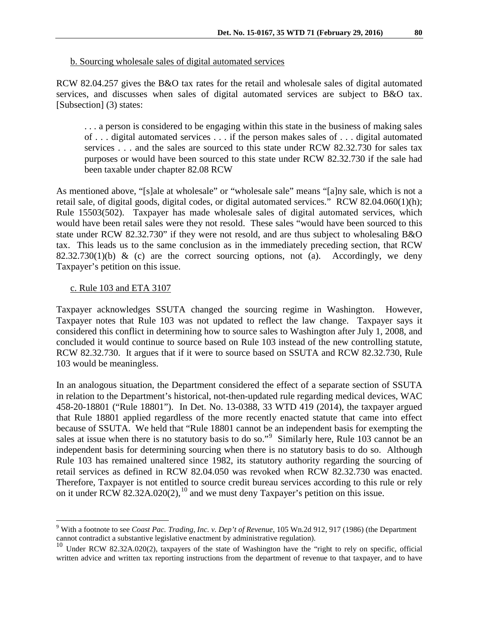### b. Sourcing wholesale sales of digital automated services

RCW 82.04.257 gives the B&O tax rates for the retail and wholesale sales of digital automated services, and discusses when sales of digital automated services are subject to B&O tax. [Subsection] (3) states:

. . . a person is considered to be engaging within this state in the business of making sales of . . . digital automated services . . . if the person makes sales of . . . digital automated services . . . and the sales are sourced to this state under RCW 82.32.730 for sales tax purposes or would have been sourced to this state under RCW 82.32.730 if the sale had been taxable under chapter 82.08 RCW

As mentioned above, "[s]ale at wholesale" or "wholesale sale" means "[a]ny sale, which is not a retail sale, of digital goods, digital codes, or digital automated services." RCW 82.04.060(1)(h); Rule 15503(502). Taxpayer has made wholesale sales of digital automated services, which would have been retail sales were they not resold. These sales "would have been sourced to this state under RCW 82.32.730" if they were not resold, and are thus subject to wholesaling B&O tax. This leads us to the same conclusion as in the immediately preceding section, that RCW  $82.32.730(1)(b)$  & (c) are the correct sourcing options, not (a). Accordingly, we deny Taxpayer's petition on this issue.

# c. Rule 103 and ETA 3107

Taxpayer acknowledges SSUTA changed the sourcing regime in Washington. However, Taxpayer notes that Rule 103 was not updated to reflect the law change. Taxpayer says it considered this conflict in determining how to source sales to Washington after July 1, 2008, and concluded it would continue to source based on Rule 103 instead of the new controlling statute, RCW 82.32.730. It argues that if it were to source based on SSUTA and RCW 82.32.730, Rule 103 would be meaningless.

In an analogous situation, the Department considered the effect of a separate section of SSUTA in relation to the Department's historical, not-then-updated rule regarding medical devices, WAC 458-20-18801 ("Rule 18801"). In Det. No. 13-0388, 33 WTD 419 (2014), the taxpayer argued that Rule 18801 applied regardless of the more recently enacted statute that came into effect because of SSUTA. We held that "Rule 18801 cannot be an independent basis for exempting the sales at issue when there is no statutory basis to do so."<sup>[9](#page-9-0)</sup> Similarly here, Rule 103 cannot be an independent basis for determining sourcing when there is no statutory basis to do so. Although Rule 103 has remained unaltered since 1982, its statutory authority regarding the sourcing of retail services as defined in RCW 82.04.050 was revoked when RCW 82.32.730 was enacted. Therefore, Taxpayer is not entitled to source credit bureau services according to this rule or rely on it under RCW  $82.32A.020(2)$ , <sup>[10](#page-9-1)</sup> and we must deny Taxpayer's petition on this issue.

<span id="page-9-0"></span> <sup>9</sup> With a footnote to see *Coast Pac. Trading, Inc. v. Dep't of Revenue*, 105 Wn.2d 912, 917 (1986) (the Department cannot contradict a substantive legislative enactment by administrative regulation).

<span id="page-9-1"></span><sup>&</sup>lt;sup>10</sup> Under RCW 82.32A.020(2), taxpayers of the state of Washington have the "right to rely on specific, official written advice and written tax reporting instructions from the department of revenue to that taxpayer, and to have